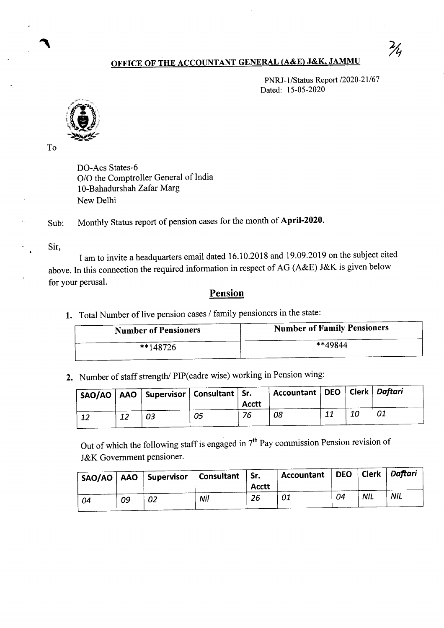## OFFICE OF THE ACCOUNTANT GENERAL (A&E) J&K, JAMMU

PNRJ-1/Status Report /2020-21/67 Dated: 15-05-2020



To

DO-Acs States-6 0/0 the Comptroller General of India 10-Bahadurshah Zafar Marg New Delhi

Sub: Monthly Status report of pension cases for the month of April-2020.

Sir,

I am to invite a headquarters email dated 16.10.2018 and 19.09.2019 on the subject cited above. In this connection the required information in respect of AG (A&E) J&K is given below for your perusal.

## Pension

1. Total Number of live pension cases / family pensioners in the state:

| <b>Number of Pensioners</b> | <b>Number of Family Pensioners</b> |  |  |  |  |
|-----------------------------|------------------------------------|--|--|--|--|
| $*148726$                   | **49844                            |  |  |  |  |

2. Number of staff strength/ PIP(cadre wise) working in Pension wing:

|    | $'$ SAO/AO   AAO   Supervisor   Consultant   Sr. |    | <b>Acctt</b> | Accountant   DEO   Clerk   Daftari |  |  |
|----|--------------------------------------------------|----|--------------|------------------------------------|--|--|
| 12 | 03                                               | 05 | 76           | 08                                 |  |  |

Out of which the following staff is engaged in  $7<sup>th</sup>$  Pay commission Pension revision of J&K Government pensioner.

| SAO/AO   AAO |    | Supervisor | Consultant | $\vert$ Sr.<br><b>Acctt</b> | Accountant   DEO   Clerk   Daftari |    |            |            |
|--------------|----|------------|------------|-----------------------------|------------------------------------|----|------------|------------|
| 04           | 09 | 02         | Nil        | 26                          | 01                                 | 04 | <b>NIL</b> | <b>NIL</b> |